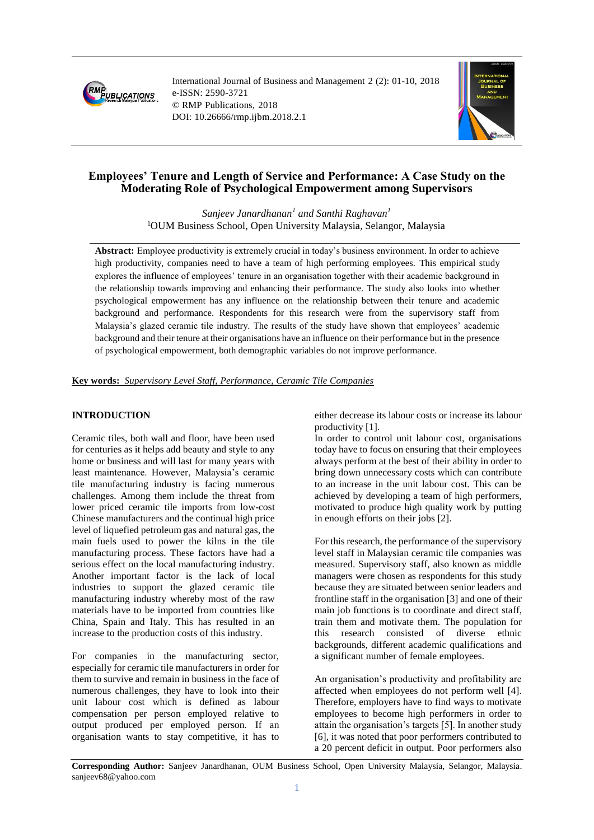

International Journal of Business and Management 2 (2): 01-10, 2018 e-ISSN: 2590-3721 © RMP Publications, 2018 DOI: 10.26666/rmp.ijbm.2018.2.1



# **Employees' Tenure and Length of Service and Performance: A Case Study on the Moderating Role of Psychological Empowerment among Supervisors**

*Sanjeev Janardhanan<sup>1</sup> and Santhi Raghavan<sup>1</sup>* <sup>1</sup>OUM Business School, Open University Malaysia, Selangor, Malaysia

**Abstract:** Employee productivity is extremely crucial in today's business environment. In order to achieve high productivity, companies need to have a team of high performing employees. This empirical study explores the influence of employees' tenure in an organisation together with their academic background in the relationship towards improving and enhancing their performance. The study also looks into whether psychological empowerment has any influence on the relationship between their tenure and academic background and performance. Respondents for this research were from the supervisory staff from Malaysia's glazed ceramic tile industry. The results of the study have shown that employees' academic background and their tenure at their organisations have an influence on their performance but in the presence of psychological empowerment, both demographic variables do not improve performance.

**Key words:** *Supervisory Level Staff, Performance, Ceramic Tile Companies*

### **INTRODUCTION**

Ceramic tiles, both wall and floor, have been used for centuries as it helps add beauty and style to any home or business and will last for many years with least maintenance. However, Malaysia's ceramic tile manufacturing industry is facing numerous challenges. Among them include the threat from lower priced ceramic tile imports from low-cost Chinese manufacturers and the continual high price level of liquefied petroleum gas and natural gas, the main fuels used to power the kilns in the tile manufacturing process. These factors have had a serious effect on the local manufacturing industry. Another important factor is the lack of local industries to support the glazed ceramic tile manufacturing industry whereby most of the raw materials have to be imported from countries like China, Spain and Italy. This has resulted in an increase to the production costs of this industry.

For companies in the manufacturing sector, especially for ceramic tile manufacturers in order for them to survive and remain in business in the face of numerous challenges, they have to look into their unit labour cost which is defined as labour compensation per person employed relative to output produced per employed person. If an organisation wants to stay competitive, it has to either decrease its labour costs or increase its labour productivity [1].

In order to control unit labour cost, organisations today have to focus on ensuring that their employees always perform at the best of their ability in order to bring down unnecessary costs which can contribute to an increase in the unit labour cost. This can be achieved by developing a team of high performers, motivated to produce high quality work by putting in enough efforts on their jobs [2].

For this research, the performance of the supervisory level staff in Malaysian ceramic tile companies was measured. Supervisory staff, also known as middle managers were chosen as respondents for this study because they are situated between senior leaders and frontline staff in the organisation [3] and one of their main job functions is to coordinate and direct staff. train them and motivate them. The population for this research consisted of diverse ethnic backgrounds, different academic qualifications and a significant number of female employees.

An organisation's productivity and profitability are affected when employees do not perform well [4]. Therefore, employers have to find ways to motivate employees to become high performers in order to attain the organisation's targets [5]. In another study [6], it was noted that poor performers contributed to a 20 percent deficit in output. Poor performers also

**Corresponding Author:** Sanjeev Janardhanan, OUM Business School, Open University Malaysia, Selangor, Malaysia. sanjeev68@yahoo.com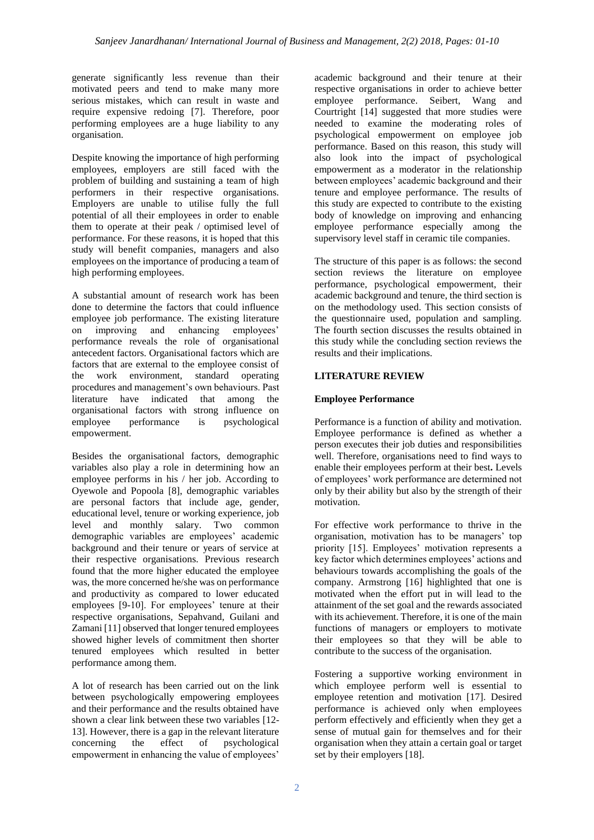generate significantly less revenue than their motivated peers and tend to make many more serious mistakes, which can result in waste and require expensive redoing [7]. Therefore, poor performing employees are a huge liability to any organisation.

Despite knowing the importance of high performing employees, employers are still faced with the problem of building and sustaining a team of high performers in their respective organisations. Employers are unable to utilise fully the full potential of all their employees in order to enable them to operate at their peak / optimised level of performance. For these reasons, it is hoped that this study will benefit companies, managers and also employees on the importance of producing a team of high performing employees.

A substantial amount of research work has been done to determine the factors that could influence employee job performance. The existing literature on improving and enhancing employees' performance reveals the role of organisational antecedent factors. Organisational factors which are factors that are external to the employee consist of the work environment, standard operating procedures and management's own behaviours. Past literature have indicated that among the organisational factors with strong influence on employee performance is psychological empowerment.

Besides the organisational factors, demographic variables also play a role in determining how an employee performs in his / her job. According to Oyewole and Popoola [8], demographic variables are personal factors that include age, gender, educational level, tenure or working experience, job level and monthly salary. Two common demographic variables are employees' academic background and their tenure or years of service at their respective organisations. Previous research found that the more higher educated the employee was, the more concerned he/she was on performance and productivity as compared to lower educated employees [9-10]. For employees' tenure at their respective organisations, Sepahvand, Guilani and Zamani [11] observed that longer tenured employees showed higher levels of commitment then shorter tenured employees which resulted in better performance among them.

A lot of research has been carried out on the link between psychologically empowering employees and their performance and the results obtained have shown a clear link between these two variables [12- 13]. However, there is a gap in the relevant literature<br>concerning the effect of psychological the effect of psychological empowerment in enhancing the value of employees'

academic background and their tenure at their respective organisations in order to achieve better employee performance. Seibert, Wang and Courtright [14] suggested that more studies were needed to examine the moderating roles of psychological empowerment on employee job performance. Based on this reason, this study will also look into the impact of psychological empowerment as a moderator in the relationship between employees' academic background and their tenure and employee performance. The results of this study are expected to contribute to the existing body of knowledge on improving and enhancing employee performance especially among the supervisory level staff in ceramic tile companies.

The structure of this paper is as follows: the second section reviews the literature on employee performance, psychological empowerment, their academic background and tenure, the third section is on the methodology used. This section consists of the questionnaire used, population and sampling. The fourth section discusses the results obtained in this study while the concluding section reviews the results and their implications.

## **LITERATURE REVIEW**

## **Employee Performance**

Performance is a function of ability and motivation. Employee performance is defined as whether a person executes their job duties and responsibilities well. Therefore, organisations need to find ways to enable their employees perform at their best**.** Levels of employees' work performance are determined not only by their ability but also by the strength of their motivation.

For effective work performance to thrive in the organisation, motivation has to be managers' top priority [15]. Employees' motivation represents a key factor which determines employees' actions and behaviours towards accomplishing the goals of the company. Armstrong [16] highlighted that one is motivated when the effort put in will lead to the attainment of the set goal and the rewards associated with its achievement. Therefore, it is one of the main functions of managers or employers to motivate their employees so that they will be able to contribute to the success of the organisation.

Fostering a supportive working environment in which employee perform well is essential to employee retention and motivation [17]. Desired performance is achieved only when employees perform effectively and efficiently when they get a sense of mutual gain for themselves and for their organisation when they attain a certain goal or target set by their employers [18].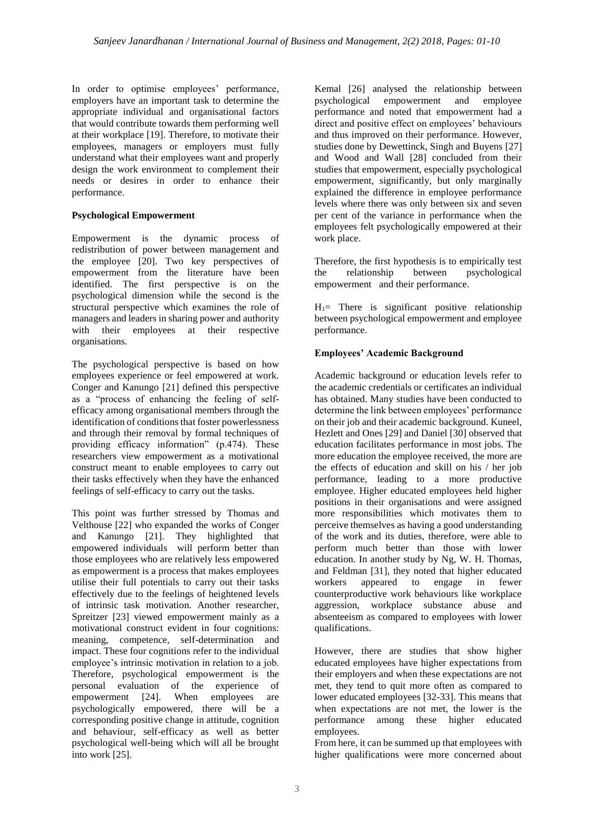In order to optimise employees' performance, employers have an important task to determine the appropriate individual and organisational factors that would contribute towards them performing well at their workplace [19]. Therefore, to motivate their employees, managers or employers must fully understand what their employees want and properly design the work environment to complement their needs or desires in order to enhance their performance.

## **Psychological Empowerment**

Empowerment is the dynamic process of redistribution of power between management and the employee [20]. Two key perspectives of empowerment from the literature have been identified. The first perspective is on the psychological dimension while the second is the structural perspective which examines the role of managers and leaders in sharing power and authority with their employees at their respective organisations.

The psychological perspective is based on how employees experience or feel empowered at work. Conger and Kanungo [21] defined this perspective as a "process of enhancing the feeling of selfefficacy among organisational members through the identification of conditions that foster powerlessness and through their removal by formal techniques of providing efficacy information" (p.474). These researchers view empowerment as a motivational construct meant to enable employees to carry out their tasks effectively when they have the enhanced feelings of self-efficacy to carry out the tasks.

This point was further stressed by Thomas and Velthouse [22] who expanded the works of Conger and Kanungo [21]. They highlighted that empowered individuals will perform better than those employees who are relatively less empowered as empowerment is a process that makes employees utilise their full potentials to carry out their tasks effectively due to the feelings of heightened levels of intrinsic task motivation. Another researcher, Spreitzer [23] viewed empowerment mainly as a motivational construct evident in four cognitions: meaning, competence, self-determination and impact. These four cognitions refer to the individual employee's intrinsic motivation in relation to a job. Therefore, psychological empowerment is the personal evaluation of the experience of empowerment [24]. When employees are psychologically empowered, there will be a corresponding positive change in attitude, cognition and behaviour, self-efficacy as well as better psychological well-being which will all be brought into work [25].

Kemal [26] analysed the relationship between psychological empowerment and employee performance and noted that empowerment had a direct and positive effect on employees' behaviours and thus improved on their performance. However, studies done by Dewettinck, Singh and Buyens [27] and Wood and Wall [28] concluded from their studies that empowerment, especially psychological empowerment, significantly, but only marginally explained the difference in employee performance levels where there was only between six and seven per cent of the variance in performance when the employees felt psychologically empowered at their work place.

Therefore, the first hypothesis is to empirically test the relationship between psychological empowerment and their performance.

 $H_1$ = There is significant positive relationship between psychological empowerment and employee performance.

## **Employees' Academic Background**

Academic background or education levels refer to the academic credentials or certificates an individual has obtained. Many studies have been conducted to determine the link between employees' performance on their job and their academic background. Kuneel, Hezlett and Ones [29] and Daniel [30] observed that education facilitates performance in most jobs. The more education the employee received, the more are the effects of education and skill on his / her job performance, leading to a more productive employee. Higher educated employees held higher positions in their organisations and were assigned more responsibilities which motivates them to perceive themselves as having a good understanding of the work and its duties, therefore, were able to perform much better than those with lower education. In another study by Ng, W. H. Thomas, and Feldman [31], they noted that higher educated workers appeared to engage in fewer counterproductive work behaviours like workplace aggression, workplace substance abuse and absenteeism as compared to employees with lower qualifications.

However, there are studies that show higher educated employees have higher expectations from their employers and when these expectations are not met, they tend to quit more often as compared to lower educated employees [32-33]. This means that when expectations are not met, the lower is the performance among these higher educated employees.

From here, it can be summed up that employees with higher qualifications were more concerned about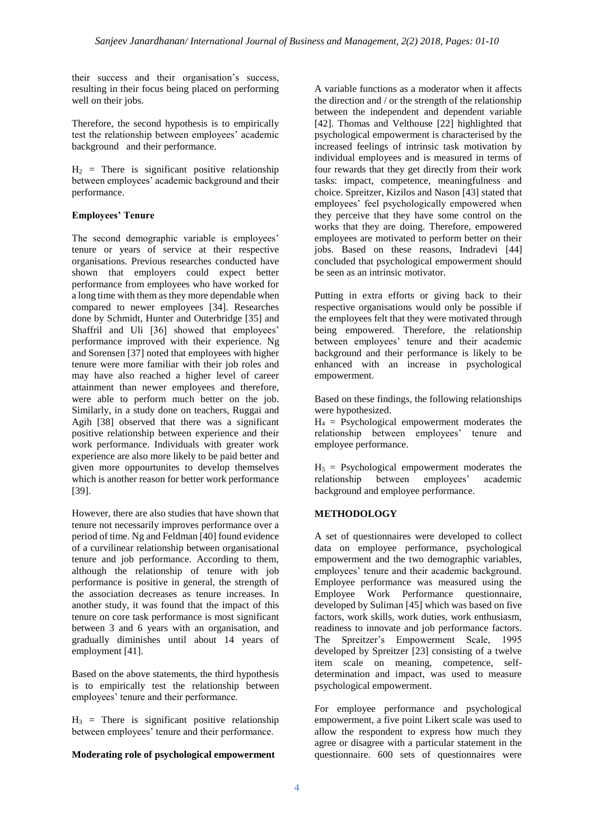their success and their organisation's success, resulting in their focus being placed on performing well on their jobs.

Therefore, the second hypothesis is to empirically test the relationship between employees' academic background and their performance.

 $H_2$  = There is significant positive relationship between employees' academic background and their performance.

## **Employees' Tenure**

The second demographic variable is employees' tenure or years of service at their respective organisations. Previous researches conducted have shown that employers could expect better performance from employees who have worked for a long time with them as they more dependable when compared to newer employees [34]. Researches done by Schmidt, Hunter and Outerbridge [35] and Shaffril and Uli [36] showed that employees' performance improved with their experience. Ng and Sorensen [37] noted that employees with higher tenure were more familiar with their job roles and may have also reached a higher level of career attainment than newer employees and therefore, were able to perform much better on the job. Similarly, in a study done on teachers, Ruggai and Agih [38] observed that there was a significant positive relationship between experience and their work performance. Individuals with greater work experience are also more likely to be paid better and given more oppourtunites to develop themselves which is another reason for better work performance [39].

However, there are also studies that have shown that tenure not necessarily improves performance over a period of time. Ng and Feldman [40] found evidence of a curvilinear relationship between organisational tenure and job performance. According to them, although the relationship of tenure with job performance is positive in general, the strength of the association decreases as tenure increases. In another study, it was found that the impact of this tenure on core task performance is most significant between 3 and 6 years with an organisation, and gradually diminishes until about 14 years of employment [41].

Based on the above statements, the third hypothesis is to empirically test the relationship between employees' tenure and their performance.

 $H_3$  = There is significant positive relationship between employees' tenure and their performance.

### **Moderating role of psychological empowerment**

A variable functions as a moderator when it affects the direction and / or the strength of the relationship between the independent and dependent variable [42]. Thomas and Velthouse [22] highlighted that psychological empowerment is characterised by the increased feelings of intrinsic task motivation by individual employees and is measured in terms of four rewards that they get directly from their work tasks: impact, competence, meaningfulness and choice. Spreitzer, Kizilos and Nason [43] stated that employees' feel psychologically empowered when they perceive that they have some control on the works that they are doing. Therefore, empowered employees are motivated to perform better on their jobs. Based on these reasons, Indradevi [44] concluded that psychological empowerment should be seen as an intrinsic motivator.

Putting in extra efforts or giving back to their respective organisations would only be possible if the employees felt that they were motivated through being empowered. Therefore, the relationship between employees' tenure and their academic background and their performance is likely to be enhanced with an increase in psychological empowerment.

Based on these findings, the following relationships were hypothesized.

 $H_4$  = Psychological empowerment moderates the relationship between employees' tenure and employee performance.

 $H<sub>5</sub>$  = Psychological empowerment moderates the relationship between employees' academic background and employee performance.

## **METHODOLOGY**

A set of questionnaires were developed to collect data on employee performance, psychological empowerment and the two demographic variables, employees' tenure and their academic background. Employee performance was measured using the Employee Work Performance questionnaire, developed by Suliman [45] which was based on five factors, work skills, work duties, work enthusiasm, readiness to innovate and job performance factors. The Spreitzer's Empowerment Scale, 1995 developed by Spreitzer [23] consisting of a twelve item scale on meaning, competence, selfdetermination and impact, was used to measure psychological empowerment.

For employee performance and psychological empowerment, a five point Likert scale was used to allow the respondent to express how much they agree or disagree with a particular statement in the questionnaire. 600 sets of questionnaires were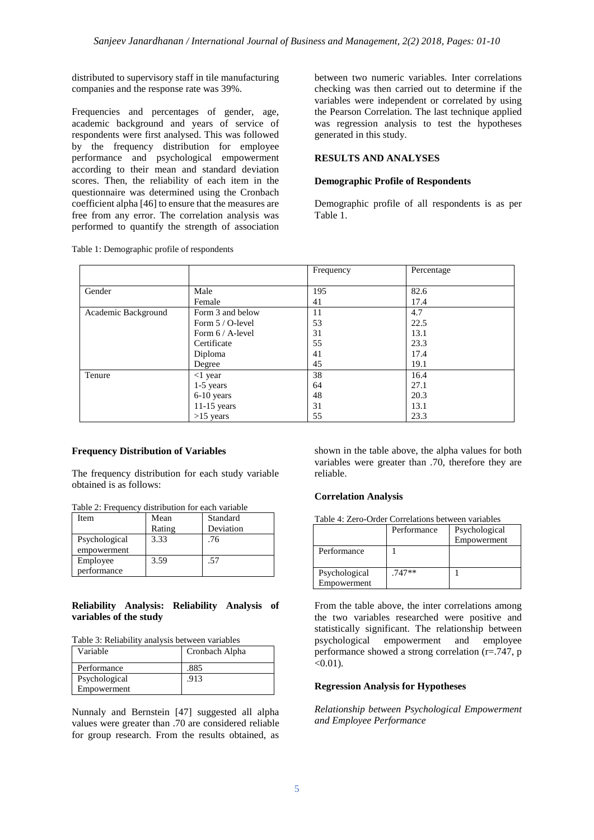distributed to supervisory staff in tile manufacturing companies and the response rate was 39%.

Frequencies and percentages of gender, age, academic background and years of service of respondents were first analysed. This was followed by the frequency distribution for employee performance and psychological empowerment according to their mean and standard deviation scores. Then, the reliability of each item in the questionnaire was determined using the Cronbach coefficient alpha [46] to ensure that the measures are free from any error. The correlation analysis was performed to quantify the strength of association

Table 1: Demographic profile of respondents

between two numeric variables. Inter correlations checking was then carried out to determine if the variables were independent or correlated by using the Pearson Correlation. The last technique applied was regression analysis to test the hypotheses generated in this study.

## **RESULTS AND ANALYSES**

### **Demographic Profile of Respondents**

Demographic profile of all respondents is as per Table 1.

|                     |                     | Frequency | Percentage |
|---------------------|---------------------|-----------|------------|
|                     |                     |           |            |
| Gender              | Male                | 195       | 82.6       |
|                     | Female              | 41        | 17.4       |
| Academic Background | Form 3 and below    | 11        | 4.7        |
|                     | Form 5 / O-level    | 53        | 22.5       |
|                     | Form $6 / A$ -level | 31        | 13.1       |
|                     | Certificate         | 55        | 23.3       |
|                     | Diploma             | 41        | 17.4       |
|                     | Degree              | 45        | 19.1       |
| Tenure              | $<$ 1 year          | 38        | 16.4       |
|                     | $1-5$ years         | 64        | 27.1       |
|                     | 6-10 years          | 48        | 20.3       |
|                     | $11-15$ years       | 31        | 13.1       |
|                     | $>15$ years         | 55        | 23.3       |

### **Frequency Distribution of Variables**

The frequency distribution for each study variable obtained is as follows:

Table 2: Frequency distribution for each variable

| Item          | Mean   | Standard  |
|---------------|--------|-----------|
|               | Rating | Deviation |
| Psychological | 3.33   | .76       |
| empowerment   |        |           |
| Employee      | 3.59   | .57       |
| performance   |        |           |

### **Reliability Analysis: Reliability Analysis of variables of the study**

| Table 3: Reliability analysis between variables |  |
|-------------------------------------------------|--|
|-------------------------------------------------|--|

| Variable      | Cronbach Alpha |
|---------------|----------------|
| Performance   | .885           |
| Psychological | .913           |
| Empowerment   |                |

Nunnaly and Bernstein [47] suggested all alpha values were greater than .70 are considered reliable for group research. From the results obtained, as

shown in the table above, the alpha values for both variables were greater than .70, therefore they are reliable.

### **Correlation Analysis**

| Table 4: Zero-Order Correlations between variables |  |  |
|----------------------------------------------------|--|--|
|                                                    |  |  |

|                              | Performance | Psychological<br>Empowerment |
|------------------------------|-------------|------------------------------|
| Performance                  |             |                              |
| Psychological<br>Empowerment | $.747**$    |                              |

From the table above, the inter correlations among the two variables researched were positive and statistically significant. The relationship between psychological empowerment and employee performance showed a strong correlation (r=.747, p  $<0.01$ ).

### **Regression Analysis for Hypotheses**

*Relationship between Psychological Empowerment and Employee Performance*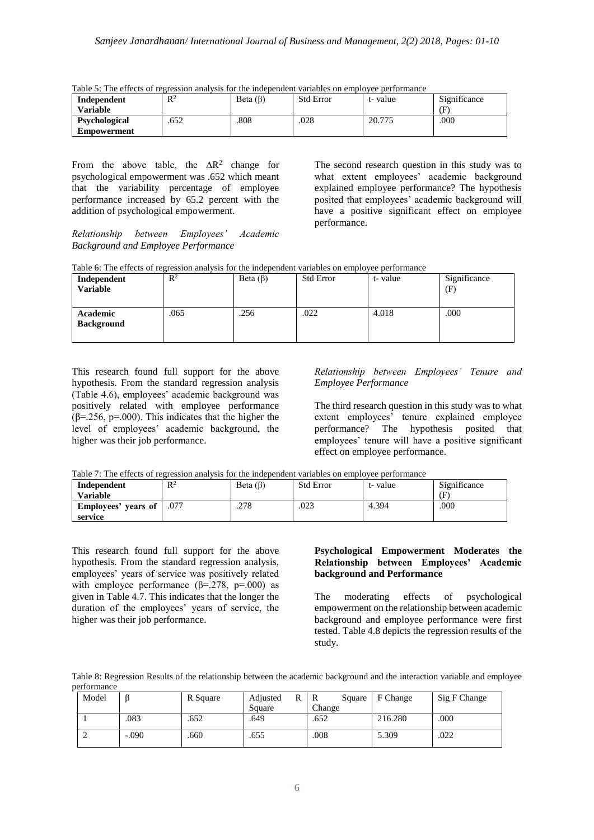| Independent          | D <sub>2</sub> | Beta $(\beta)$ | <b>Std Error</b> | t-value | Significance |
|----------------------|----------------|----------------|------------------|---------|--------------|
| <b>Variable</b>      |                |                |                  |         |              |
| <b>Psychological</b> | 652            | .808           | .028             | 20.775  | .000         |
| <b>Empowerment</b>   |                |                |                  |         |              |

|  |  |  | Table 5: The effects of regression analysis for the independent variables on employee performance |  |
|--|--|--|---------------------------------------------------------------------------------------------------|--|
|  |  |  |                                                                                                   |  |

From the above table, the  $\Delta R^2$  change for psychological empowerment was .652 which meant that the variability percentage of employee performance increased by 65.2 percent with the addition of psychological empowerment.

*Relationship between Employees' Academic Background and Employee Performance*

The second research question in this study was to what extent employees' academic background explained employee performance? The hypothesis posited that employees' academic background will have a positive significant effect on employee performance.

Table 6: The effects of regression analysis for the independent variables on employee performance

| Independent<br><b>Variable</b> | $\mathbb{R}^2$ | Beta $(\beta)$ | <b>Std Error</b> | t-value | Significance<br>(F) |
|--------------------------------|----------------|----------------|------------------|---------|---------------------|
| Academic<br><b>Background</b>  | .065           | .256           | .022             | 4.018   | .000                |

This research found full support for the above hypothesis. From the standard regression analysis (Table 4.6), employees' academic background was positively related with employee performance ( $\beta$ =.256, p=.000). This indicates that the higher the level of employees' academic background, the higher was their job performance.

*Relationship between Employees' Tenure and Employee Performance*

The third research question in this study was to what extent employees' tenure explained employee performance? The hypothesis posited that employees' tenure will have a positive significant effect on employee performance.

|  |  |  |  |  | Table 7: The effects of regression analysis for the independent variables on employee performance |  |
|--|--|--|--|--|---------------------------------------------------------------------------------------------------|--|
|  |  |  |  |  |                                                                                                   |  |

| Independent         | D <sub>2</sub><br>K | Beta $(\beta)$ | <b>Std Error</b> | t-value | Significance |
|---------------------|---------------------|----------------|------------------|---------|--------------|
| Variable            |                     |                |                  |         | (F           |
| Employees' years of | .077                | .278           | .023             | 4.394   | .000         |
| service             |                     |                |                  |         |              |

This research found full support for the above hypothesis. From the standard regression analysis, employees' years of service was positively related with employee performance  $(\beta = 278, \ p = .000)$  as given in Table 4.7. This indicates that the longer the duration of the employees' years of service, the higher was their job performance.

### **Psychological Empowerment Moderates the Relationship between Employees' Academic background and Performance**

The moderating effects of psychological empowerment on the relationship between academic background and employee performance were first tested. Table 4.8 depicts the regression results of the study.

Table 8: Regression Results of the relationship between the academic background and the interaction variable and employee performance

| Model |         | R Square | Adjusted<br>R | R<br>Square | F Change | Sig F Change |
|-------|---------|----------|---------------|-------------|----------|--------------|
|       |         |          | Square        | Change      |          |              |
|       | .083    | .652     | .649          | .652        | 216.280  | .000         |
|       | $-.090$ | .660     | .655          | .008        | 5.309    | .022         |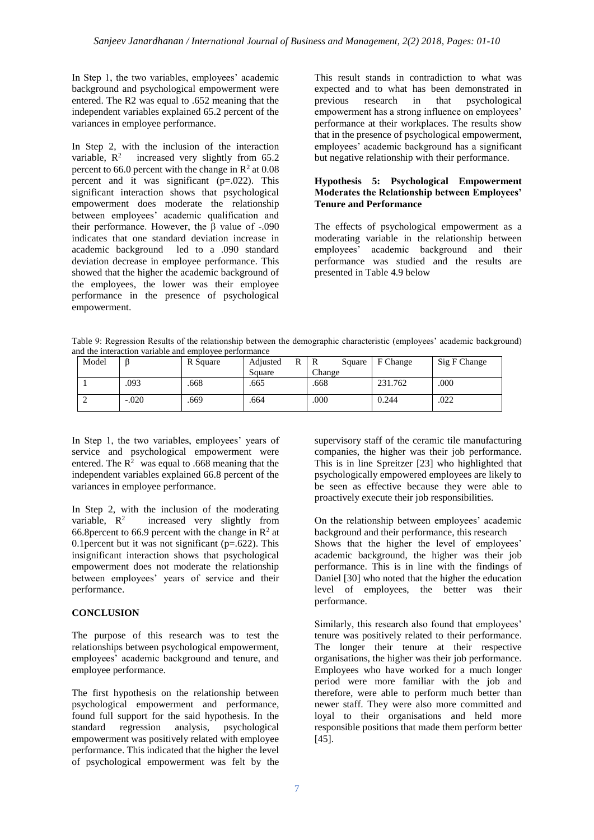In Step 1, the two variables, employees' academic background and psychological empowerment were entered. The R2 was equal to .652 meaning that the independent variables explained 65.2 percent of the variances in employee performance.

In Step 2, with the inclusion of the interaction variable,  $\mathbb{R}^2$  increased very slightly from 65.2 percent to 66.0 percent with the change in  $\mathbb{R}^2$  at 0.08 percent and it was significant  $(p=.022)$ . This significant interaction shows that psychological empowerment does moderate the relationship between employees' academic qualification and their performance. However, the β value of -.090 indicates that one standard deviation increase in academic background led to a .090 standard deviation decrease in employee performance. This showed that the higher the academic background of the employees, the lower was their employee performance in the presence of psychological empowerment.

This result stands in contradiction to what was expected and to what has been demonstrated in previous research in that psychological empowerment has a strong influence on employees' performance at their workplaces. The results show that in the presence of psychological empowerment, employees' academic background has a significant but negative relationship with their performance.

### **Hypothesis 5: Psychological Empowerment Moderates the Relationship between Employees' Tenure and Performance**

The effects of psychological empowerment as a moderating variable in the relationship between employees' academic background and their performance was studied and the results are presented in Table 4.9 below

Table 9: Regression Results of the relationship between the demographic characteristic (employees' academic background) and the interaction variable and employee performance

| Model |         | R Square | Adjusted<br>R | R<br>Square | F Change | Sig F Change |
|-------|---------|----------|---------------|-------------|----------|--------------|
|       |         |          | Square        | Change      |          |              |
|       | .093    | .668     | .665          | .668        | 231.762  | .000         |
|       | $-.020$ | .669     | .664          | .000        | 0.244    | .022         |

In Step 1, the two variables, employees' years of service and psychological empowerment were entered. The  $\overline{R}^2$  was equal to .668 meaning that the independent variables explained 66.8 percent of the variances in employee performance.

In Step 2, with the inclusion of the moderating<br>variable,  $R^2$  increased very slightly from increased very slightly from 66.8 percent to 66.9 percent with the change in  $\mathbb{R}^2$  at 0.1 percent but it was not significant  $(p=.622)$ . This insignificant interaction shows that psychological empowerment does not moderate the relationship between employees' years of service and their performance.

### **CONCLUSION**

The purpose of this research was to test the relationships between psychological empowerment, employees' academic background and tenure, and employee performance.

The first hypothesis on the relationship between psychological empowerment and performance, found full support for the said hypothesis. In the standard regression analysis, psychological empowerment was positively related with employee performance. This indicated that the higher the level of psychological empowerment was felt by the

supervisory staff of the ceramic tile manufacturing companies, the higher was their job performance. This is in line Spreitzer [23] who highlighted that psychologically empowered employees are likely to be seen as effective because they were able to proactively execute their job responsibilities.

On the relationship between employees' academic background and their performance, this research Shows that the higher the level of employees' academic background, the higher was their job performance. This is in line with the findings of Daniel [30] who noted that the higher the education level of employees, the better was their performance.

Similarly, this research also found that employees' tenure was positively related to their performance. The longer their tenure at their respective organisations, the higher was their job performance. Employees who have worked for a much longer period were more familiar with the job and therefore, were able to perform much better than newer staff. They were also more committed and loyal to their organisations and held more responsible positions that made them perform better [45].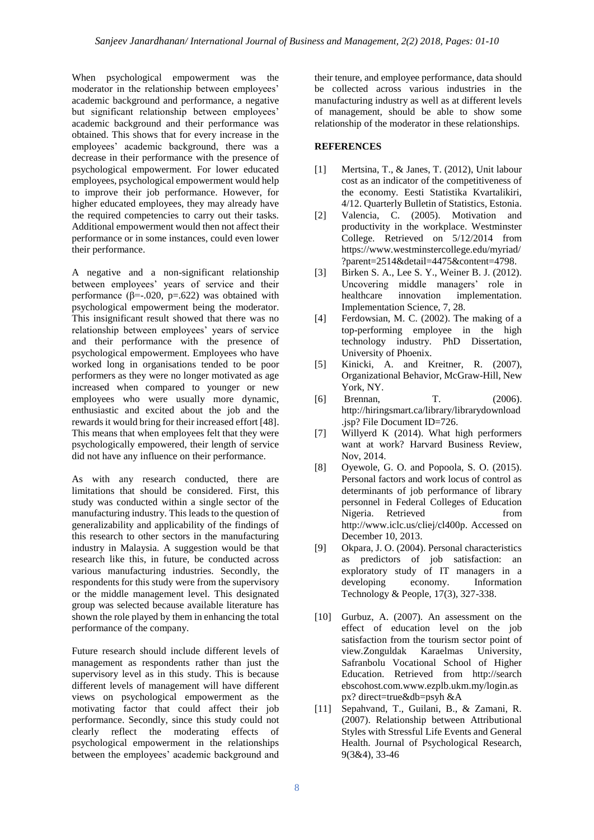When psychological empowerment was the moderator in the relationship between employees' academic background and performance, a negative but significant relationship between employees' academic background and their performance was obtained. This shows that for every increase in the employees' academic background, there was a decrease in their performance with the presence of psychological empowerment. For lower educated employees, psychological empowerment would help to improve their job performance. However, for higher educated employees, they may already have the required competencies to carry out their tasks. Additional empowerment would then not affect their performance or in some instances, could even lower their performance.

A negative and a non-significant relationship between employees' years of service and their performance ( $\beta$ =-.020, p=.622) was obtained with psychological empowerment being the moderator. This insignificant result showed that there was no relationship between employees' years of service and their performance with the presence of psychological empowerment. Employees who have worked long in organisations tended to be poor performers as they were no longer motivated as age increased when compared to younger or new employees who were usually more dynamic, enthusiastic and excited about the job and the rewards it would bring for their increased effort [48]. This means that when employees felt that they were psychologically empowered, their length of service did not have any influence on their performance.

As with any research conducted, there are limitations that should be considered. First, this study was conducted within a single sector of the manufacturing industry. This leads to the question of generalizability and applicability of the findings of this research to other sectors in the manufacturing industry in Malaysia. A suggestion would be that research like this, in future, be conducted across various manufacturing industries. Secondly, the respondents for this study were from the supervisory or the middle management level. This designated group was selected because available literature has shown the role played by them in enhancing the total performance of the company.

Future research should include different levels of management as respondents rather than just the supervisory level as in this study. This is because different levels of management will have different views on psychological empowerment as the motivating factor that could affect their job performance. Secondly, since this study could not clearly reflect the moderating effects of psychological empowerment in the relationships between the employees' academic background and

their tenure, and employee performance, data should be collected across various industries in the manufacturing industry as well as at different levels of management, should be able to show some relationship of the moderator in these relationships.

### **REFERENCES**

- [1] Mertsina, T., & Janes, T. (2012), Unit labour cost as an indicator of the competitiveness of the economy. Eesti Statistika Kvartalikiri, 4/12. Quarterly Bulletin of Statistics, Estonia.
- [2] Valencia, C. (2005). Motivation and productivity in the workplace. Westminster College. Retrieved on 5/12/2014 from https://www.westminstercollege.edu/myriad/ ?parent=2514&detail=4475&content=4798.
- [3] Birken S. A., Lee S. Y., Weiner B. J. (2012). Uncovering middle managers' role in healthcare innovation implementation. Implementation Science, 7, 28.
- [4] Ferdowsian, M. C. (2002). The making of a top-performing employee in the high technology industry. PhD Dissertation, University of Phoenix.
- [5] Kinicki, A. and Kreitner, R. (2007), Organizational Behavior, McGraw-Hill, New York, NY.
- [6] Brennan, T. (2006). http://hiringsmart.ca/library/librarydownload .jsp? File Document ID=726.
- [7] Willyerd K (2014). What high performers want at work? Harvard Business Review, Nov, 2014.
- [8] Oyewole, G. O. and Popoola, S. O. (2015). Personal factors and work locus of control as determinants of job performance of library personnel in Federal Colleges of Education Nigeria. Retrieved from http://www.iclc.us/cliej/cl400p. Accessed on December 10, 2013.
- [9] Okpara, J. O. (2004). Personal characteristics as predictors of job satisfaction: an exploratory study of IT managers in a developing economy. Information Technology & People, 17(3), 327-338.
- [10] Gurbuz, A. (2007). An assessment on the effect of education level on the job satisfaction from the tourism sector point of view.Zonguldak Karaelmas University, Safranbolu Vocational School of Higher Education. Retrieved from http://search ebscohost.com.www.ezplb.ukm.my/login.as px? direct=true&db=psyh &A
- [11] Sepahvand, T., Guilani, B., & Zamani, R. (2007). Relationship between Attributional Styles with Stressful Life Events and General Health. Journal of Psychological Research, 9(3&4), 33-46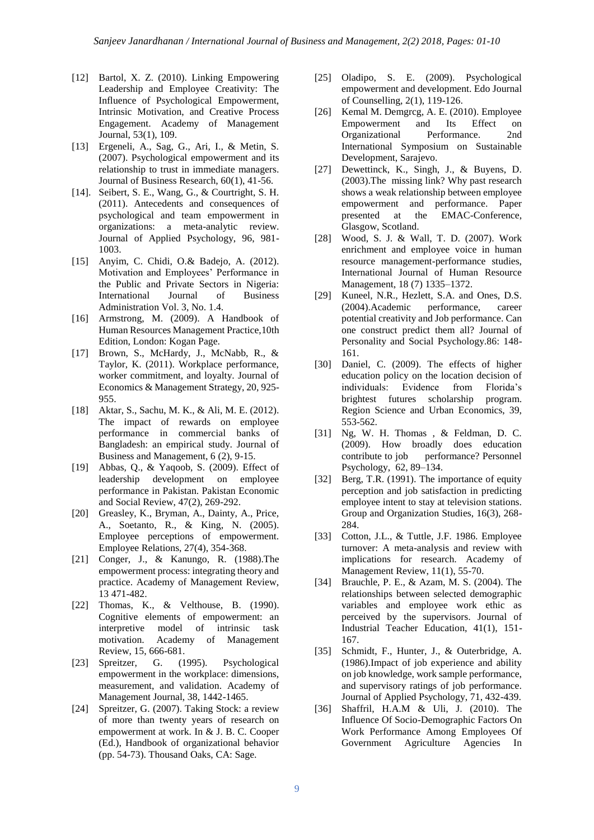- [12] Bartol, X. Z. (2010). Linking Empowering Leadership and Employee Creativity: The Influence of Psychological Empowerment, Intrinsic Motivation, and Creative Process Engagement. Academy of Management Journal, 53(1), 109.
- [13] Ergeneli, A., Sag, G., Ari, I., & Metin, S. (2007). Psychological empowerment and its relationship to trust in immediate managers. Journal of Business Research, 60(1), 41-56.
- [14]. Seibert, S. E., Wang, G., & Courtright, S. H. (2011). Antecedents and consequences of psychological and team empowerment in organizations: a meta-analytic review. Journal of Applied Psychology, 96, 981- 1003.
- [15] Anyim, C. Chidi, O.& Badejo, A. (2012). Motivation and Employees' Performance in the Public and Private Sectors in Nigeria: International Journal of Business Administration Vol. 3, No. 1.4.
- [16] Armstrong, M. (2009). A Handbook of Human Resources Management Practice,10th Edition, London: Kogan Page.
- [17] Brown, S., McHardy, J., McNabb, R., & Taylor, K. (2011). Workplace performance, worker commitment, and loyalty. Journal of Economics & Management Strategy, 20, 925- 955.
- [18] Aktar, S., Sachu, M. K., & Ali, M. E. (2012). The impact of rewards on employee performance in commercial banks of Bangladesh: an empirical study. Journal of Business and Management, 6 (2), 9-15.
- [19] Abbas, Q., & Yaqoob, S. (2009). Effect of leadership development on employee performance in Pakistan. Pakistan Economic and Social Review, 47(2), 269-292.
- [20] Greasley, K., Bryman, A., Dainty, A., Price, A., Soetanto, R., & King, N. (2005). Employee perceptions of empowerment. Employee Relations, 27(4), 354-368.
- [21] Conger, J., & Kanungo, R. (1988).The empowerment process: integrating theory and practice. Academy of Management Review, 13 471-482.
- [22] Thomas, K., & Velthouse, B. (1990). Cognitive elements of empowerment: an interpretive model of intrinsic task motivation. Academy of Management Review, 15, 666-681.
- [23] Spreitzer, G. (1995). Psychological empowerment in the workplace: dimensions, measurement, and validation. Academy of Management Journal, 38, 1442-1465.
- [24] Spreitzer, G. (2007). Taking Stock: a review of more than twenty years of research on empowerment at work. In & J. B. C. Cooper (Ed.), Handbook of organizational behavior (pp. 54-73). Thousand Oaks, CA: Sage.
- [25] Oladipo, S. E. (2009). Psychological empowerment and development. Edo Journal of Counselling, 2(1), 119-126.
- [26] Kemal M. Demgrcg, A. E. (2010). Employee Empowerment and Its Effect on Organizational Performance. 2nd International Symposium on Sustainable Development, Sarajevo.
- [27] Dewettinck, K., Singh, J., & Buyens, D. (2003).The missing link? Why past research shows a weak relationship between employee empowerment and performance. Paper presented at the EMAC-Conference, Glasgow, Scotland.
- [28] Wood, S. J. & Wall, T. D. (2007). Work enrichment and employee voice in human resource management-performance studies, International Journal of Human Resource Management, 18 (7) 1335–1372.
- [29] Kuneel, N.R., Hezlett, S.A. and Ones, D.S. (2004).Academic performance, career potential creativity and Job performance. Can one construct predict them all? Journal of Personality and Social Psychology.86: 148- 161.
- [30] Daniel, C. (2009). The effects of higher education policy on the location decision of individuals: Evidence from Florida's brightest futures scholarship program. Region Science and Urban Economics, 39, 553-562.
- [31] Ng, W. H. Thomas , & Feldman, D. C. (2009). How broadly does education contribute to job performance? Personnel Psychology, 62, 89–134.
- [32] Berg, T.R. (1991). The importance of equity perception and job satisfaction in predicting employee intent to stay at television stations. Group and Organization Studies, 16(3), 268- 284.
- [33] Cotton, J.L., & Tuttle, J.F. 1986. Employee turnover: A meta-analysis and review with implications for research. Academy of Management Review, 11(1), 55-70.
- [34] Brauchle, P. E., & Azam, M. S. (2004). The relationships between selected demographic variables and employee work ethic as perceived by the supervisors. Journal of Industrial Teacher Education, 41(1), 151- 167.
- [35] Schmidt, F., Hunter, J., & Outerbridge, A. (1986).Impact of job experience and ability on job knowledge, work sample performance, and supervisory ratings of job performance. Journal of Applied Psychology, 71, 432-439.
- [36] Shaffril, H.A.M & Uli, J. (2010). The Influence Of Socio-Demographic Factors On Work Performance Among Employees Of Government Agriculture Agencies In